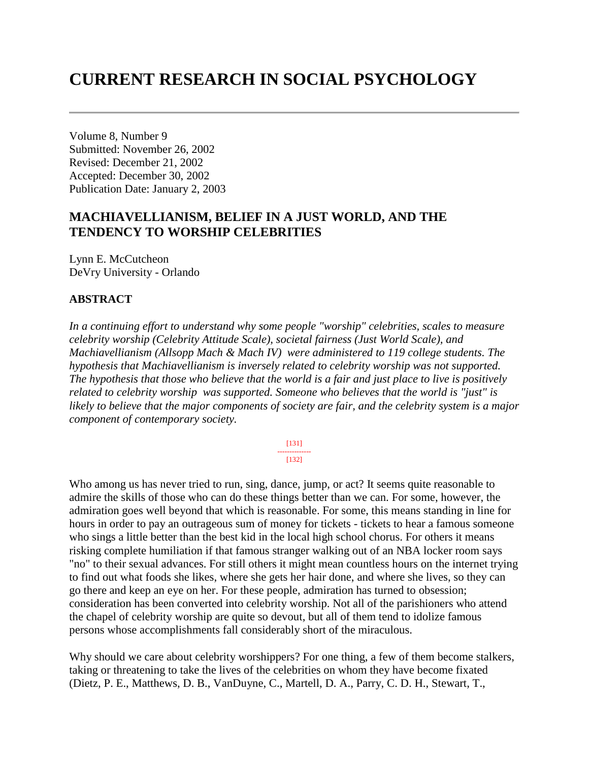# **CURRENT RESEARCH IN SOCIAL PSYCHOLOGY**

Volume 8, Number 9 Submitted: November 26, 2002 Revised: December 21, 2002 Accepted: December 30, 2002 Publication Date: January 2, 2003

## **MACHIAVELLIANISM, BELIEF IN A JUST WORLD, AND THE TENDENCY TO WORSHIP CELEBRITIES**

Lynn E. McCutcheon DeVry University - Orlando

#### **ABSTRACT**

*In a continuing effort to understand why some people "worship" celebrities, scales to measure celebrity worship (Celebrity Attitude Scale), societal fairness (Just World Scale), and Machiavellianism (Allsopp Mach & Mach IV) were administered to 119 college students. The hypothesis that Machiavellianism is inversely related to celebrity worship was not supported. The hypothesis that those who believe that the world is a fair and just place to live is positively related to celebrity worship was supported. Someone who believes that the world is "just" is likely to believe that the major components of society are fair, and the celebrity system is a major component of contemporary society.* 

> [131] -------------- [132]

Who among us has never tried to run, sing, dance, jump, or act? It seems quite reasonable to admire the skills of those who can do these things better than we can. For some, however, the admiration goes well beyond that which is reasonable. For some, this means standing in line for hours in order to pay an outrageous sum of money for tickets - tickets to hear a famous someone who sings a little better than the best kid in the local high school chorus. For others it means risking complete humiliation if that famous stranger walking out of an NBA locker room says "no" to their sexual advances. For still others it might mean countless hours on the internet trying to find out what foods she likes, where she gets her hair done, and where she lives, so they can go there and keep an eye on her. For these people, admiration has turned to obsession; consideration has been converted into celebrity worship. Not all of the parishioners who attend the chapel of celebrity worship are quite so devout, but all of them tend to idolize famous persons whose accomplishments fall considerably short of the miraculous.

Why should we care about celebrity worshippers? For one thing, a few of them become stalkers, taking or threatening to take the lives of the celebrities on whom they have become fixated (Dietz, P. E., Matthews, D. B., VanDuyne, C., Martell, D. A., Parry, C. D. H., Stewart, T.,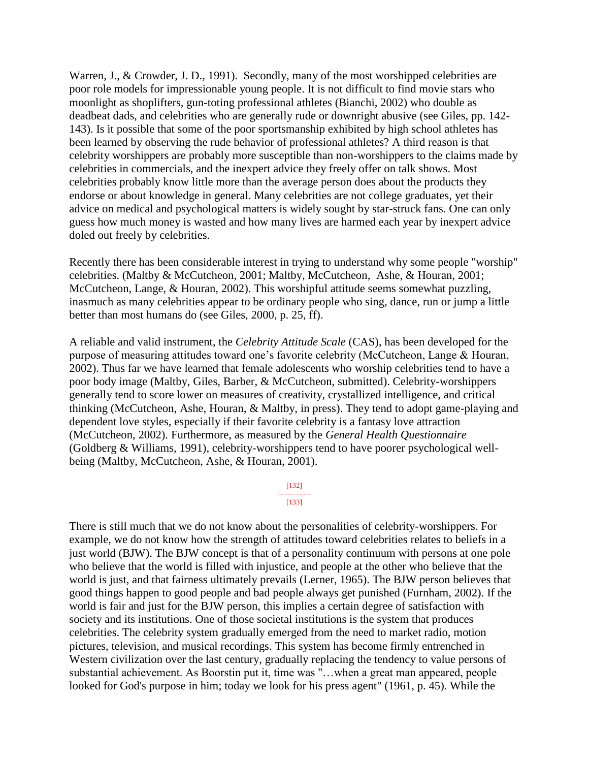Warren, J., & Crowder, J. D., 1991). Secondly, many of the most worshipped celebrities are poor role models for impressionable young people. It is not difficult to find movie stars who moonlight as shoplifters, gun-toting professional athletes (Bianchi, 2002) who double as deadbeat dads, and celebrities who are generally rude or downright abusive (see Giles, pp. 142- 143). Is it possible that some of the poor sportsmanship exhibited by high school athletes has been learned by observing the rude behavior of professional athletes? A third reason is that celebrity worshippers are probably more susceptible than non-worshippers to the claims made by celebrities in commercials, and the inexpert advice they freely offer on talk shows. Most celebrities probably know little more than the average person does about the products they endorse or about knowledge in general. Many celebrities are not college graduates, yet their advice on medical and psychological matters is widely sought by star-struck fans. One can only guess how much money is wasted and how many lives are harmed each year by inexpert advice doled out freely by celebrities.

Recently there has been considerable interest in trying to understand why some people "worship" celebrities. (Maltby & McCutcheon, 2001; Maltby, McCutcheon, Ashe, & Houran, 2001; McCutcheon, Lange, & Houran, 2002). This worshipful attitude seems somewhat puzzling, inasmuch as many celebrities appear to be ordinary people who sing, dance, run or jump a little better than most humans do (see Giles, 2000, p. 25, ff).

A reliable and valid instrument, the *Celebrity Attitude Scale* (CAS), has been developed for the purpose of measuring attitudes toward one's favorite celebrity (McCutcheon, Lange & Houran, 2002). Thus far we have learned that female adolescents who worship celebrities tend to have a poor body image (Maltby, Giles, Barber, & McCutcheon, submitted). Celebrity-worshippers generally tend to score lower on measures of creativity, crystallized intelligence, and critical thinking (McCutcheon, Ashe, Houran, & Maltby, in press). They tend to adopt game-playing and dependent love styles, especially if their favorite celebrity is a fantasy love attraction (McCutcheon, 2002). Furthermore, as measured by the *General Health Questionnaire* (Goldberg & Williams, 1991), celebrity-worshippers tend to have poorer psychological wellbeing (Maltby, McCutcheon, Ashe, & Houran, 2001).

> [132] -------------- [133]

There is still much that we do not know about the personalities of celebrity-worshippers. For example, we do not know how the strength of attitudes toward celebrities relates to beliefs in a just world (BJW). The BJW concept is that of a personality continuum with persons at one pole who believe that the world is filled with injustice, and people at the other who believe that the world is just, and that fairness ultimately prevails (Lerner, 1965). The BJW person believes that good things happen to good people and bad people always get punished (Furnham, 2002). If the world is fair and just for the BJW person, this implies a certain degree of satisfaction with society and its institutions. One of those societal institutions is the system that produces celebrities. The celebrity system gradually emerged from the need to market radio, motion pictures, television, and musical recordings. This system has become firmly entrenched in Western civilization over the last century, gradually replacing the tendency to value persons of substantial achievement. As Boorstin put it, time was "…when a great man appeared, people looked for God's purpose in him; today we look for his press agent" (1961, p. 45). While the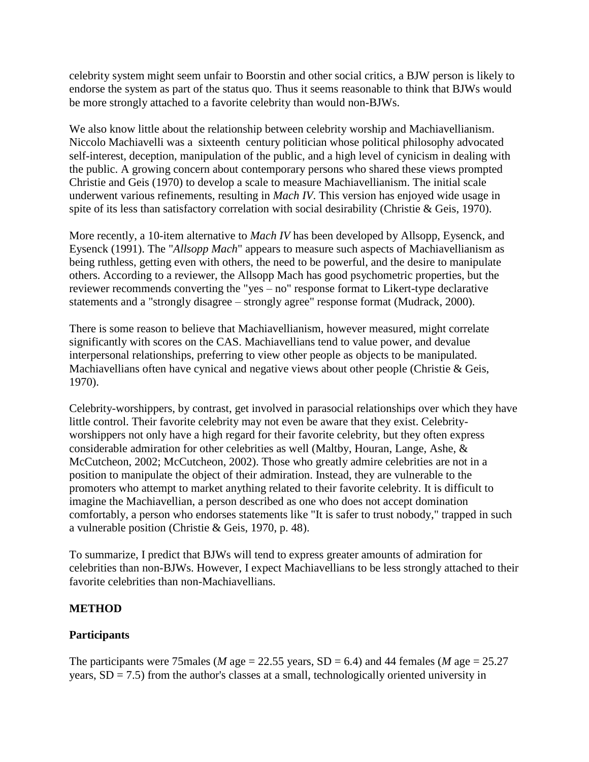celebrity system might seem unfair to Boorstin and other social critics, a BJW person is likely to endorse the system as part of the status quo. Thus it seems reasonable to think that BJWs would be more strongly attached to a favorite celebrity than would non-BJWs.

We also know little about the relationship between celebrity worship and Machiavellianism. Niccolo Machiavelli was a sixteenth century politician whose political philosophy advocated self-interest, deception, manipulation of the public, and a high level of cynicism in dealing with the public. A growing concern about contemporary persons who shared these views prompted Christie and Geis (1970) to develop a scale to measure Machiavellianism. The initial scale underwent various refinements, resulting in *Mach IV*. This version has enjoyed wide usage in spite of its less than satisfactory correlation with social desirability (Christie & Geis, 1970).

More recently, a 10-item alternative to *Mach IV* has been developed by Allsopp, Eysenck, and Eysenck (1991). The "*Allsopp Mach*" appears to measure such aspects of Machiavellianism as being ruthless, getting even with others, the need to be powerful, and the desire to manipulate others. According to a reviewer, the Allsopp Mach has good psychometric properties, but the reviewer recommends converting the "yes – no" response format to Likert-type declarative statements and a "strongly disagree – strongly agree" response format (Mudrack, 2000).

There is some reason to believe that Machiavellianism, however measured, might correlate significantly with scores on the CAS. Machiavellians tend to value power, and devalue interpersonal relationships, preferring to view other people as objects to be manipulated. Machiavellians often have cynical and negative views about other people (Christie & Geis, 1970).

Celebrity-worshippers, by contrast, get involved in parasocial relationships over which they have little control. Their favorite celebrity may not even be aware that they exist. Celebrityworshippers not only have a high regard for their favorite celebrity, but they often express considerable admiration for other celebrities as well (Maltby, Houran, Lange, Ashe, & McCutcheon, 2002; McCutcheon, 2002). Those who greatly admire celebrities are not in a position to manipulate the object of their admiration. Instead, they are vulnerable to the promoters who attempt to market anything related to their favorite celebrity. It is difficult to imagine the Machiavellian, a person described as one who does not accept domination comfortably, a person who endorses statements like "It is safer to trust nobody," trapped in such a vulnerable position (Christie & Geis, 1970, p. 48).

To summarize, I predict that BJWs will tend to express greater amounts of admiration for celebrities than non-BJWs. However, I expect Machiavellians to be less strongly attached to their favorite celebrities than non-Machiavellians.

## **METHOD**

## **Participants**

The participants were 75males (*M* age = 22.55 years,  $SD = 6.4$ ) and 44 females (*M* age = 25.27 years,  $SD = 7.5$ ) from the author's classes at a small, technologically oriented university in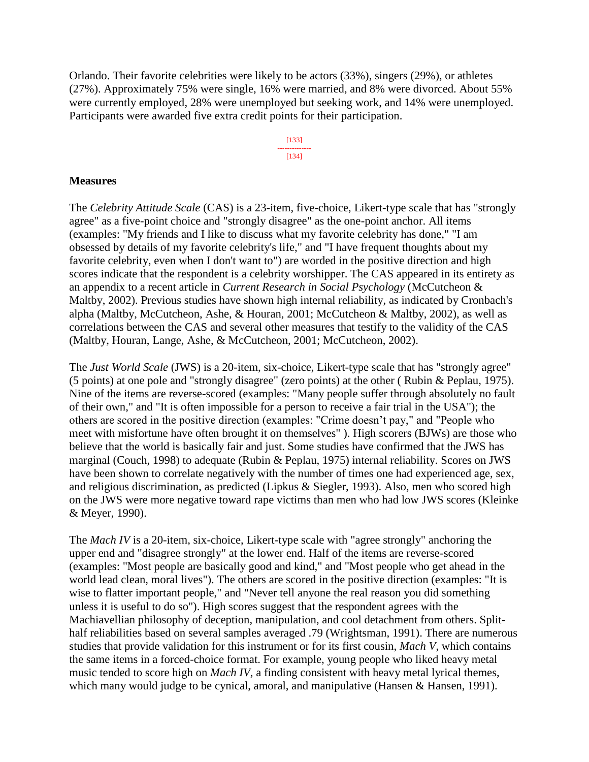Orlando. Their favorite celebrities were likely to be actors (33%), singers (29%), or athletes (27%). Approximately 75% were single, 16% were married, and 8% were divorced. About 55% were currently employed, 28% were unemployed but seeking work, and 14% were unemployed. Participants were awarded five extra credit points for their participation.

> [133] -------------- [134]

#### **Measures**

The *Celebrity Attitude Scale* (CAS) is a 23-item, five-choice, Likert-type scale that has "strongly agree" as a five-point choice and "strongly disagree" as the one-point anchor. All items (examples: "My friends and I like to discuss what my favorite celebrity has done," "I am obsessed by details of my favorite celebrity's life," and "I have frequent thoughts about my favorite celebrity, even when I don't want to") are worded in the positive direction and high scores indicate that the respondent is a celebrity worshipper. The CAS appeared in its entirety as an appendix to a recent article in *Current Research in Social Psychology* (McCutcheon & Maltby, 2002). Previous studies have shown high internal reliability, as indicated by Cronbach's alpha (Maltby, McCutcheon, Ashe, & Houran, 2001; McCutcheon & Maltby, 2002), as well as correlations between the CAS and several other measures that testify to the validity of the CAS (Maltby, Houran, Lange, Ashe, & McCutcheon, 2001; McCutcheon, 2002).

The *Just World Scale* (JWS) is a 20-item, six-choice, Likert-type scale that has "strongly agree" (5 points) at one pole and "strongly disagree" (zero points) at the other ( Rubin & Peplau, 1975). Nine of the items are reverse-scored (examples: "Many people suffer through absolutely no fault of their own," and "It is often impossible for a person to receive a fair trial in the USA"); the others are scored in the positive direction (examples: "Crime doesn't pay," and "People who meet with misfortune have often brought it on themselves" ). High scorers (BJWs) are those who believe that the world is basically fair and just. Some studies have confirmed that the JWS has marginal (Couch, 1998) to adequate (Rubin & Peplau, 1975) internal reliability. Scores on JWS have been shown to correlate negatively with the number of times one had experienced age, sex, and religious discrimination, as predicted (Lipkus & Siegler, 1993). Also, men who scored high on the JWS were more negative toward rape victims than men who had low JWS scores (Kleinke & Meyer, 1990).

The *Mach IV* is a 20-item, six-choice, Likert-type scale with "agree strongly" anchoring the upper end and "disagree strongly" at the lower end. Half of the items are reverse-scored (examples: "Most people are basically good and kind," and "Most people who get ahead in the world lead clean, moral lives"). The others are scored in the positive direction (examples: "It is wise to flatter important people," and "Never tell anyone the real reason you did something unless it is useful to do so"). High scores suggest that the respondent agrees with the Machiavellian philosophy of deception, manipulation, and cool detachment from others. Splithalf reliabilities based on several samples averaged .79 (Wrightsman, 1991). There are numerous studies that provide validation for this instrument or for its first cousin, *Mach V*, which contains the same items in a forced-choice format. For example, young people who liked heavy metal music tended to score high on *Mach IV*, a finding consistent with heavy metal lyrical themes, which many would judge to be cynical, amoral, and manipulative (Hansen & Hansen, 1991).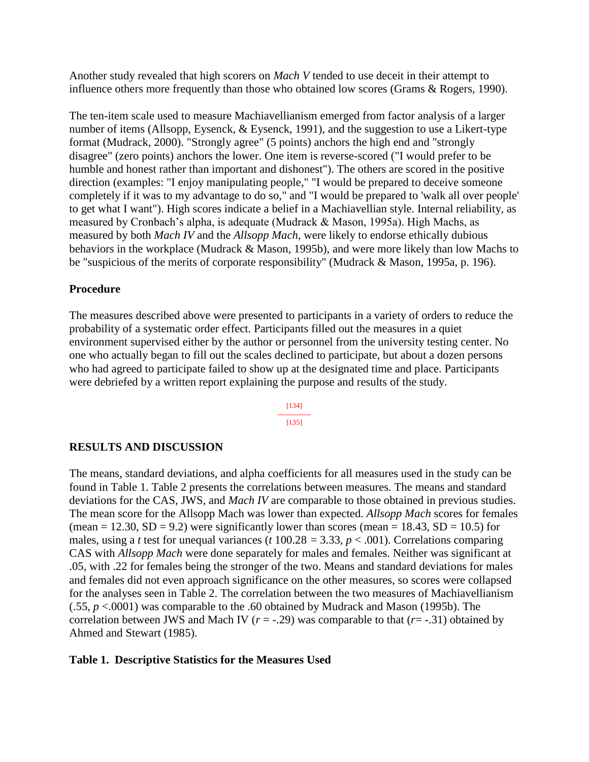Another study revealed that high scorers on *Mach V* tended to use deceit in their attempt to influence others more frequently than those who obtained low scores (Grams & Rogers, 1990).

The ten-item scale used to measure Machiavellianism emerged from factor analysis of a larger number of items (Allsopp, Eysenck, & Eysenck, 1991), and the suggestion to use a Likert-type format (Mudrack, 2000). "Strongly agree" (5 points) anchors the high end and "strongly disagree" (zero points) anchors the lower. One item is reverse-scored ("I would prefer to be humble and honest rather than important and dishonest"). The others are scored in the positive direction (examples: "I enjoy manipulating people," "I would be prepared to deceive someone completely if it was to my advantage to do so," and "I would be prepared to 'walk all over people' to get what I want"). High scores indicate a belief in a Machiavellian style. Internal reliability, as measured by Cronbach's alpha, is adequate (Mudrack & Mason, 1995a). High Machs, as measured by both *Mach IV* and the *Allsopp Mach*, were likely to endorse ethically dubious behaviors in the workplace (Mudrack & Mason, 1995b), and were more likely than low Machs to be "suspicious of the merits of corporate responsibility" (Mudrack & Mason, 1995a, p. 196).

### **Procedure**

The measures described above were presented to participants in a variety of orders to reduce the probability of a systematic order effect. Participants filled out the measures in a quiet environment supervised either by the author or personnel from the university testing center. No one who actually began to fill out the scales declined to participate, but about a dozen persons who had agreed to participate failed to show up at the designated time and place. Participants were debriefed by a written report explaining the purpose and results of the study.

> [134] -------------- [135]

## **RESULTS AND DISCUSSION**

The means, standard deviations, and alpha coefficients for all measures used in the study can be found in Table 1. Table 2 presents the correlations between measures. The means and standard deviations for the CAS, JWS, and *Mach IV* are comparable to those obtained in previous studies. The mean score for the Allsopp Mach was lower than expected. *Allsopp Mach* scores for females (mean = 12.30,  $SD = 9.2$ ) were significantly lower than scores (mean = 18.43,  $SD = 10.5$ ) for males, using a *t* test for unequal variances ( $t$  100.28 = 3.33,  $p < .001$ ). Correlations comparing CAS with *Allsopp Mach* were done separately for males and females. Neither was significant at .05, with .22 for females being the stronger of the two. Means and standard deviations for males and females did not even approach significance on the other measures, so scores were collapsed for the analyses seen in Table 2. The correlation between the two measures of Machiavellianism (.55, *p* <.0001) was comparable to the .60 obtained by Mudrack and Mason (1995b). The correlation between JWS and Mach IV  $(r = -0.29)$  was comparable to that  $(r = -0.31)$  obtained by Ahmed and Stewart (1985).

#### **Table 1. Descriptive Statistics for the Measures Used**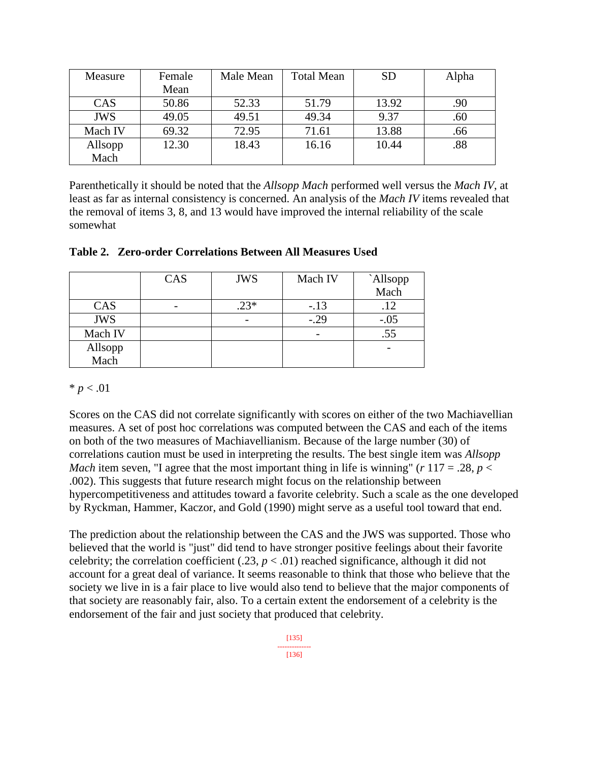| Measure    | Female | Male Mean | <b>Total Mean</b> | <b>SD</b> | Alpha |
|------------|--------|-----------|-------------------|-----------|-------|
|            | Mean   |           |                   |           |       |
| CAS        | 50.86  | 52.33     | 51.79             | 13.92     | .90   |
| <b>JWS</b> | 49.05  | 49.51     | 49.34             | 9.37      | .60   |
| Mach IV    | 69.32  | 72.95     | 71.61             | 13.88     | .66   |
| Allsopp    | 12.30  | 18.43     | 16.16             | 10.44     | .88   |
| Mach       |        |           |                   |           |       |

Parenthetically it should be noted that the *Allsopp Mach* performed well versus the *Mach IV*, at least as far as internal consistency is concerned. An analysis of the *Mach IV* items revealed that the removal of items 3, 8, and 13 would have improved the internal reliability of the scale somewhat

|  |  | Table 2. Zero-order Correlations Between All Measures Used |  |
|--|--|------------------------------------------------------------|--|
|  |  |                                                            |  |

|                 | CAS | <b>JWS</b> | Mach IV | `Allsopp |
|-----------------|-----|------------|---------|----------|
|                 |     |            |         | Mach     |
| CAS             |     | $.23*$     | $-.13$  | .12      |
| <b>JWS</b>      |     |            | $-.29$  | $-.05$   |
| Mach IV         |     |            |         | .55      |
| Allsopp<br>Mach |     |            |         |          |
|                 |     |            |         |          |

## $* p < .01$

Scores on the CAS did not correlate significantly with scores on either of the two Machiavellian measures. A set of post hoc correlations was computed between the CAS and each of the items on both of the two measures of Machiavellianism. Because of the large number (30) of correlations caution must be used in interpreting the results. The best single item was *Allsopp Mach* item seven, "I agree that the most important thing in life is winning" ( $r$  117 = .28,  $p$  < .002). This suggests that future research might focus on the relationship between hypercompetitiveness and attitudes toward a favorite celebrity. Such a scale as the one developed by Ryckman, Hammer, Kaczor, and Gold (1990) might serve as a useful tool toward that end.

The prediction about the relationship between the CAS and the JWS was supported. Those who believed that the world is "just" did tend to have stronger positive feelings about their favorite celebrity; the correlation coefficient  $(.23, p < .01)$  reached significance, although it did not account for a great deal of variance. It seems reasonable to think that those who believe that the society we live in is a fair place to live would also tend to believe that the major components of that society are reasonably fair, also. To a certain extent the endorsement of a celebrity is the endorsement of the fair and just society that produced that celebrity.

> [135] -------------- [136]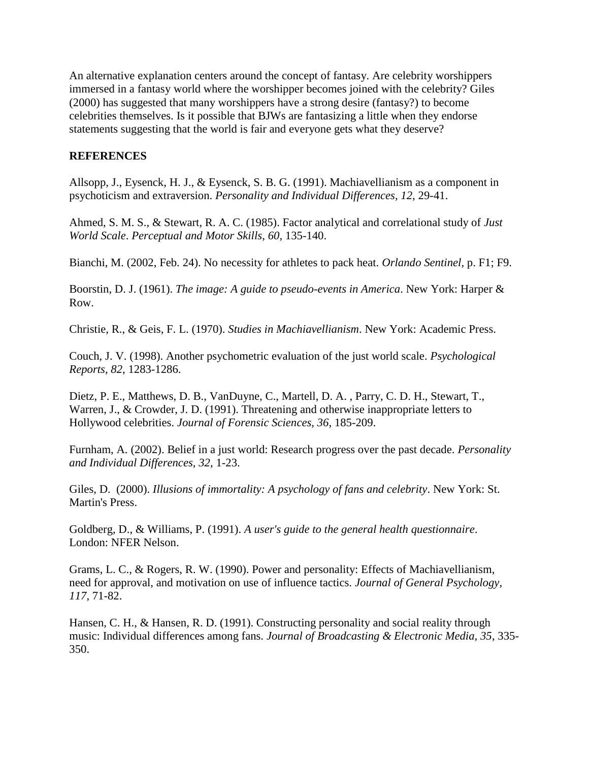An alternative explanation centers around the concept of fantasy. Are celebrity worshippers immersed in a fantasy world where the worshipper becomes joined with the celebrity? Giles (2000) has suggested that many worshippers have a strong desire (fantasy?) to become celebrities themselves. Is it possible that BJWs are fantasizing a little when they endorse statements suggesting that the world is fair and everyone gets what they deserve?

#### **REFERENCES**

Allsopp, J., Eysenck, H. J., & Eysenck, S. B. G. (1991). Machiavellianism as a component in psychoticism and extraversion. *Personality and Individual Differences*, *12*, 29-41.

Ahmed, S. M. S., & Stewart, R. A. C. (1985). Factor analytical and correlational study of *Just World Scale*. *Perceptual and Motor Skills*, *60*, 135-140.

Bianchi, M. (2002, Feb. 24). No necessity for athletes to pack heat. *Orlando Sentinel*, p. F1; F9.

Boorstin, D. J. (1961). *The image: A guide to pseudo-events in America*. New York: Harper & Row.

Christie, R., & Geis, F. L. (1970). *Studies in Machiavellianism*. New York: Academic Press.

Couch, J. V. (1998). Another psychometric evaluation of the just world scale. *Psychological Reports*, *82*, 1283-1286.

Dietz, P. E., Matthews, D. B., VanDuyne, C., Martell, D. A. , Parry, C. D. H., Stewart, T., Warren, J., & Crowder, J. D. (1991). Threatening and otherwise inappropriate letters to Hollywood celebrities. *Journal of Forensic Sciences, 36*, 185-209.

Furnham, A. (2002). Belief in a just world: Research progress over the past decade. *Personality and Individual Differences, 32*, 1-23.

Giles, D. (2000). *Illusions of immortality: A psychology of fans and celebrity*. New York: St. Martin's Press.

Goldberg, D., & Williams, P. (1991). *A user's guide to the general health questionnaire*. London: NFER Nelson.

Grams, L. C., & Rogers, R. W. (1990). Power and personality: Effects of Machiavellianism, need for approval, and motivation on use of influence tactics. *Journal of General Psychology, 117*, 71-82.

Hansen, C. H., & Hansen, R. D. (1991). Constructing personality and social reality through music: Individual differences among fans. *Journal of Broadcasting & Electronic Media, 35*, 335- 350.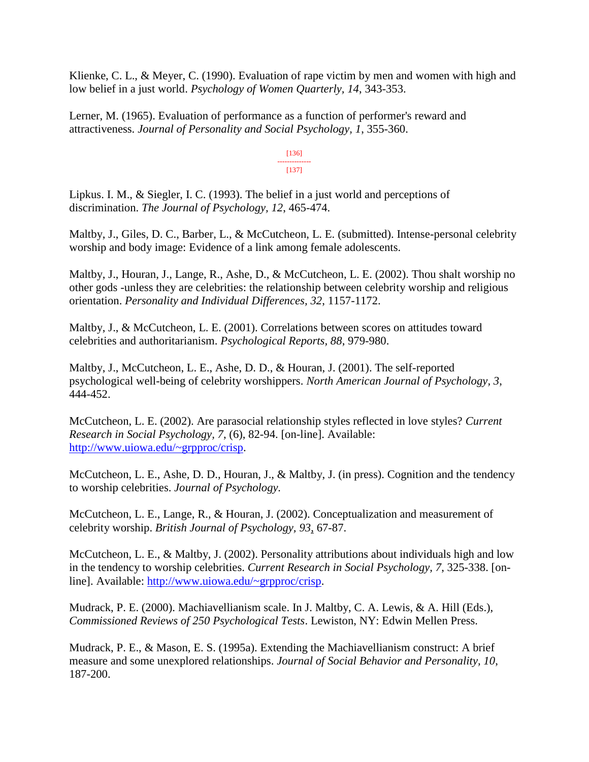Klienke, C. L., & Meyer, C. (1990). Evaluation of rape victim by men and women with high and low belief in a just world. *Psychology of Women Quarterly, 14*, 343-353.

Lerner, M. (1965). Evaluation of performance as a function of performer's reward and attractiveness. *Journal of Personality and Social Psychology, 1*, 355-360.

> [136] -------------- [137]

Lipkus. I. M., & Siegler, I. C. (1993). The belief in a just world and perceptions of discrimination. *The Journal of Psychology, 12*, 465-474.

Maltby, J., Giles, D. C., Barber, L., & McCutcheon, L. E. (submitted). Intense-personal celebrity worship and body image: Evidence of a link among female adolescents.

Maltby, J., Houran, J., Lange, R., Ashe, D., & McCutcheon, L. E. (2002). Thou shalt worship no other gods -unless they are celebrities: the relationship between celebrity worship and religious orientation. *Personality and Individual Differences, 32*, 1157-1172.

Maltby, J., & McCutcheon, L. E. (2001). Correlations between scores on attitudes toward celebrities and authoritarianism. *Psychological Reports, 88*, 979-980.

Maltby, J., McCutcheon, L. E., Ashe, D. D., & Houran, J. (2001). The self-reported psychological well-being of celebrity worshippers. *North American Journal of Psychology, 3*, 444-452.

McCutcheon, L. E. (2002). Are parasocial relationship styles reflected in love styles? *Current Research in Social Psychology, 7*, (6), 82-94. [on-line]. Available: [http://www.uiowa.edu/~grpproc/crisp.](http://www.uiowa.edu/~grpproc/crisp)

McCutcheon, L. E., Ashe, D. D., Houran, J., & Maltby, J. (in press). Cognition and the tendency to worship celebrities. *Journal of Psychology.*

McCutcheon, L. E., Lange, R., & Houran, J. (2002). Conceptualization and measurement of celebrity worship. *British Journal of Psychology, 93*, 67-87.

McCutcheon, L. E., & Maltby, J. (2002). Personality attributions about individuals high and low in the tendency to worship celebrities. *Current Research in Social Psychology, 7*, 325-338. [online]. Available: [http://www.uiowa.edu/~grpproc/crisp.](http://www.uiowa.edu/~grpproc/crisp)

Mudrack, P. E. (2000). Machiavellianism scale. In J. Maltby, C. A. Lewis, & A. Hill (Eds.), *Commissioned Reviews of 250 Psychological Tests*. Lewiston, NY: Edwin Mellen Press.

Mudrack, P. E., & Mason, E. S. (1995a). Extending the Machiavellianism construct: A brief measure and some unexplored relationships. *Journal of Social Behavior and Personality, 10*, 187-200.